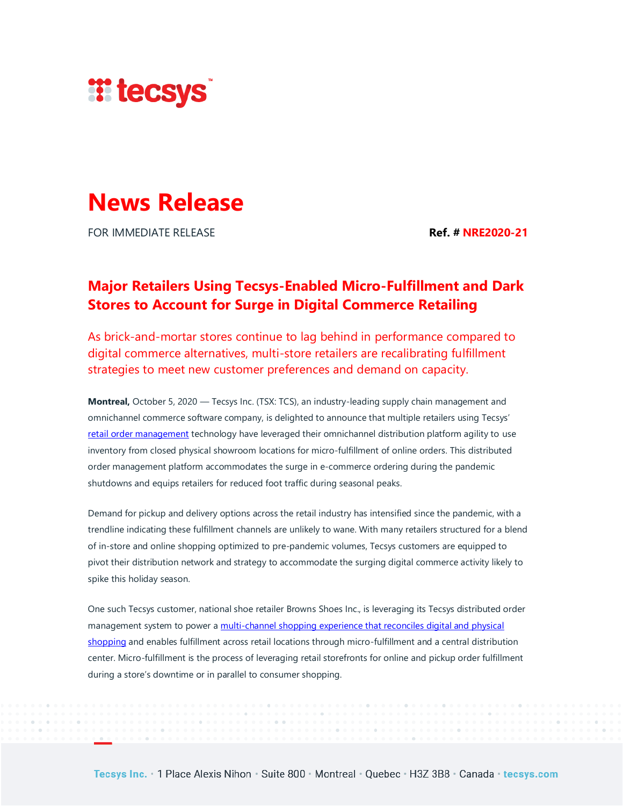

## **News Release**

FOR IMMEDIATE RELEASE **Ref. # NRE2020-21**

## **Major Retailers Using Tecsys-Enabled Micro-Fulfillment and Dark Stores to Account for Surge in Digital Commerce Retailing**

As brick-and-mortar stores continue to lag behind in performance compared to digital commerce alternatives, multi-store retailers are recalibrating fulfillment strategies to meet new customer preferences and demand on capacity.

**Montreal,** October 5, 2020 — Tecsys Inc. (TSX: TCS), an industry-leading supply chain management and omnichannel commerce software company, is delighted to announce that multiple retailers using Tecsys' [retail order management](https://www.tecsys.com/supply-chain-solutions/retail-order-management/) technology have leveraged their omnichannel distribution platform agility to use inventory from closed physical showroom locations for micro-fulfillment of online orders. This distributed order management platform accommodates the surge in e-commerce ordering during the pandemic shutdowns and equips retailers for reduced foot traffic during seasonal peaks.

Demand for pickup and delivery options across the retail industry has intensified since the pandemic, with a trendline indicating these fulfillment channels are unlikely to wane. With many retailers structured for a blend of in-store and online shopping optimized to pre-pandemic volumes, Tecsys customers are equipped to pivot their distribution network and strategy to accommodate the surging digital commerce activity likely to spike this holiday season.

One such Tecsys customer, national shoe retailer Browns Shoes Inc., is leveraging its Tecsys distributed order management system to power [a multi-channel shopping experience that reconciles digital and physical](https://infohub.tecsys.com/browns-shoes-case-study)  [shopping](https://infohub.tecsys.com/browns-shoes-case-study) and enables fulfillment across retail locations through micro-fulfillment and a central distribution center. Micro-fulfillment is the process of leveraging retail storefronts for online and pickup order fulfillment during a store's downtime or in parallel to consumer shopping.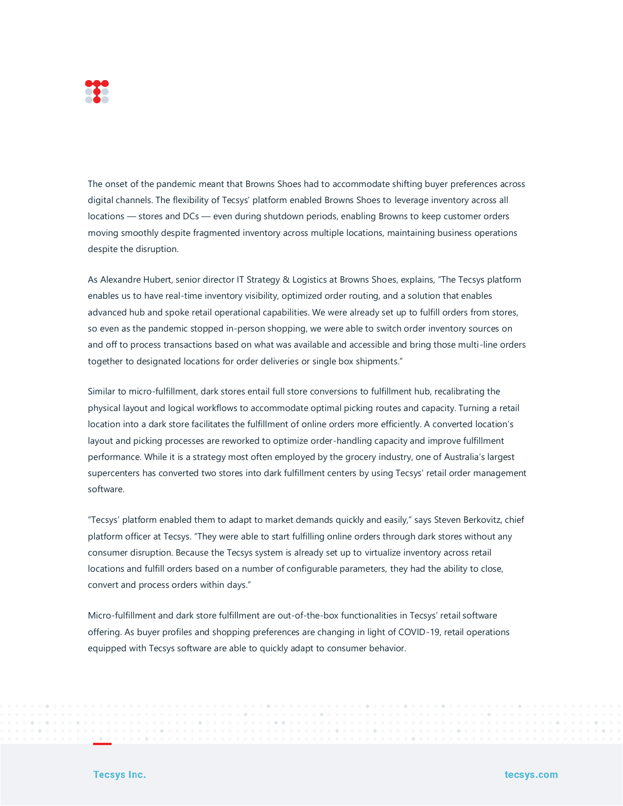

The onset of the pandemic meant that Browns Shoes had to accommodate shifting buyer preferences across digital channels. The flexibility of Tecsys' platform enabled Browns Shoes to leverage inventory across all locations — stores and DCs — even during shutdown periods, enabling Browns to keep customer orders moving smoothly despite fragmented inventory across multiple locations, maintaining business operations despite the disruption.

As Alexandre Hubert, senior director IT Strategy & Logistics at Browns Shoes, explains, "The Tecsys platform enables us to have real-time inventory visibility, optimized order routing, and a solution that enables advanced hub and spoke retail operational capabilities. We were already set up to fulfill orders from stores, so even as the pandemic stopped in-person shopping, we were able to switch order inventory sources on and off to process transactions based on what was available and accessible and bring those multi-line orders together to designated locations for order deliveries or single box shipments."

Similar to micro-fulfillment, dark stores entail full store conversions to fulfillment hub, recalibrating the physical layout and logical workflows to accommodate optimal picking routes and capacity. Turning a retail location into a dark store facilitates the fulfillment of online orders more efficiently. A converted location's layout and picking processes are reworked to optimize order-handling capacity and improve fulfillment performance. While it is a strategy most often employed by the grocery industry, one of Australia's largest supercenters has converted two stores into dark fulfillment centers by using Tecsys' retail order management software.

"Tecsys' platform enabled them to adapt to market demands quickly and easily," says Steven Berkovitz, chief platform officer at Tecsys. "They were able to start fulfilling online orders through dark stores without any consumer disruption. Because the Tecsys system is already set up to virtualize inventory across retail locations and fulfill orders based on a number of configurable parameters, they had the ability to close, convert and process orders within days."

Micro-fulfillment and dark store fulfillment are out-of-the-box functionalities in Tecsys' retail software offering. As buyer profiles and shopping preferences are changing in light of COVID-19, retail operations equipped with Tecsys software are able to quickly adapt to consumer behavior.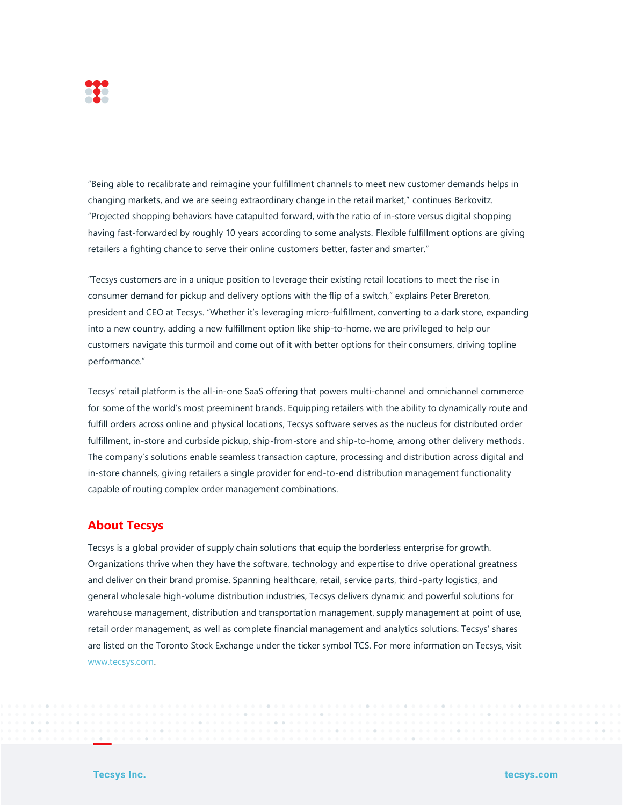

"Being able to recalibrate and reimagine your fulfillment channels to meet new customer demands helps in changing markets, and we are seeing extraordinary change in the retail market," continues Berkovitz. "Projected shopping behaviors have catapulted forward, with the ratio of in-store versus digital shopping having fast-forwarded by roughly 10 years according to some analysts. Flexible fulfillment options are giving retailers a fighting chance to serve their online customers better, faster and smarter."

"Tecsys customers are in a unique position to leverage their existing retail locations to meet the rise in consumer demand for pickup and delivery options with the flip of a switch," explains Peter Brereton, president and CEO at Tecsys. "Whether it's leveraging micro-fulfillment, converting to a dark store, expanding into a new country, adding a new fulfillment option like ship-to-home, we are privileged to help our customers navigate this turmoil and come out of it with better options for their consumers, driving topline performance."

Tecsys' retail platform is the all-in-one SaaS offering that powers multi-channel and omnichannel commerce for some of the world's most preeminent brands. Equipping retailers with the ability to dynamically route and fulfill orders across online and physical locations, Tecsys software serves as the nucleus for distributed order fulfillment, in-store and curbside pickup, ship-from-store and ship-to-home, among other delivery methods. The company's solutions enable seamless transaction capture, processing and distribution across digital and in-store channels, giving retailers a single provider for end-to-end distribution management functionality capable of routing complex order management combinations.

## **About Tecsys**

Tecsys is a global provider of supply chain solutions that equip the borderless enterprise for growth. Organizations thrive when they have the software, technology and expertise to drive operational greatness and deliver on their brand promise. Spanning healthcare, retail, service parts, third-party logistics, and general wholesale high-volume distribution industries, Tecsys delivers dynamic and powerful solutions for warehouse management, distribution and transportation management, supply management at point of use, retail order management, as well as complete financial management and analytics solutions. Tecsys' shares are listed on the Toronto Stock Exchange under the ticker symbol TCS. For more information on Tecsys, visit [www.tecsys.com.](http://www.tecsys.com/)